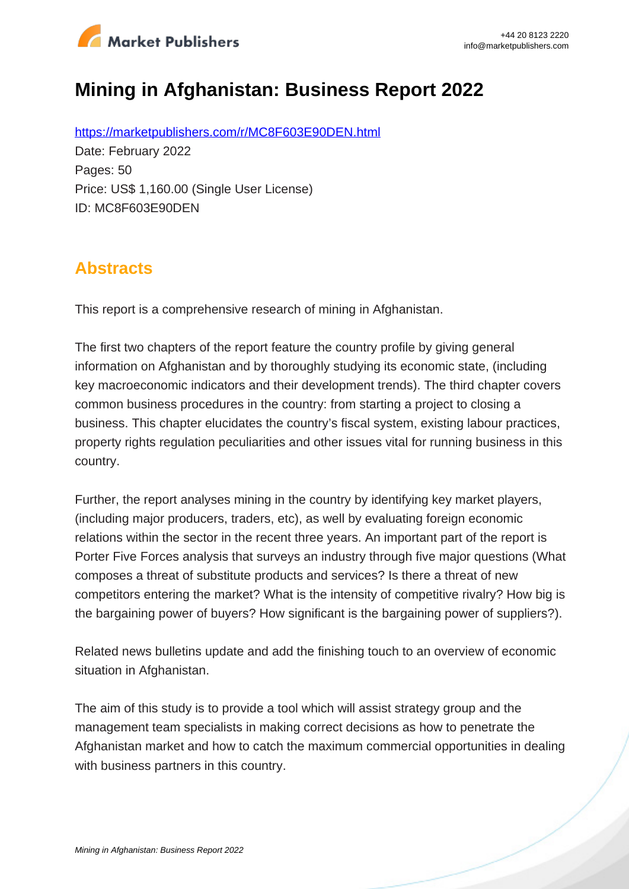

# **Mining in Afghanistan: Business Report 2022**

https://marketpublishers.com/r/MC8F603E90DEN.html Date: February 2022 Pages: 50 Price: US\$ 1,160.00 (Single User License) ID: MC8F603E90DEN

### **Abstracts**

This report is a comprehensive research of mining in Afghanistan.

The first two chapters of the report feature the country profile by giving general information on Afghanistan and by thoroughly studying its economic state, (including key macroeconomic indicators and their development trends). The third chapter covers common business procedures in the country: from starting a project to closing a business. This chapter elucidates the country's fiscal system, existing labour practices, property rights regulation peculiarities and other issues vital for running business in this country.

Further, the report analyses mining in the country by identifying key market players, (including major producers, traders, etc), as well by evaluating foreign economic relations within the sector in the recent three years. An important part of the report is Porter Five Forces analysis that surveys an industry through five major questions (What composes a threat of substitute products and services? Is there a threat of new competitors entering the market? What is the intensity of competitive rivalry? How big is the bargaining power of buyers? How significant is the bargaining power of suppliers?).

Related news bulletins update and add the finishing touch to an overview of economic situation in Afghanistan.

The aim of this study is to provide a tool which will assist strategy group and the management team specialists in making correct decisions as how to penetrate the Afghanistan market and how to catch the maximum commercial opportunities in dealing with business partners in this country.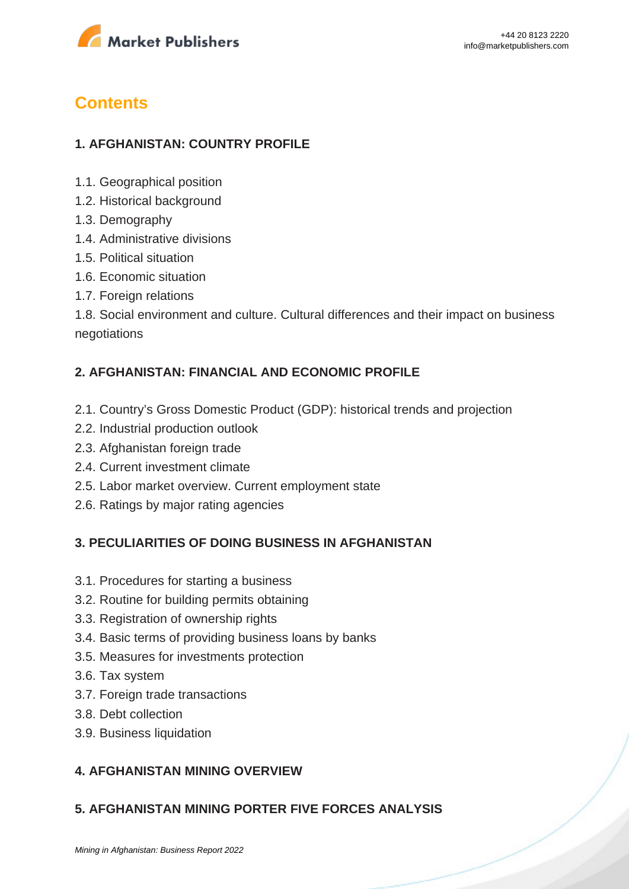

## **Contents**

#### **1. AFGHANISTAN: COUNTRY PROFILE**

- 1.1. Geographical position
- 1.2. Historical background
- 1.3. Demography
- 1.4. Administrative divisions
- 1.5. Political situation
- 1.6. Economic situation
- 1.7. Foreign relations

1.8. Social environment and culture. Cultural differences and their impact on business negotiations

#### **2. AFGHANISTAN: FINANCIAL AND ECONOMIC PROFILE**

- 2.1. Country's Gross Domestic Product (GDP): historical trends and projection
- 2.2. Industrial production outlook
- 2.3. Afghanistan foreign trade
- 2.4. Current investment climate
- 2.5. Labor market overview. Current employment state
- 2.6. Ratings by major rating agencies

#### **3. PECULIARITIES OF DOING BUSINESS IN AFGHANISTAN**

- 3.1. Procedures for starting a business
- 3.2. Routine for building permits obtaining
- 3.3. Registration of ownership rights
- 3.4. Basic terms of providing business loans by banks
- 3.5. Measures for investments protection
- 3.6. Tax system
- 3.7. Foreign trade transactions
- 3.8. Debt collection
- 3.9. Business liquidation

#### **4. AFGHANISTAN MINING OVERVIEW**

#### **5. AFGHANISTAN MINING PORTER FIVE FORCES ANALYSIS**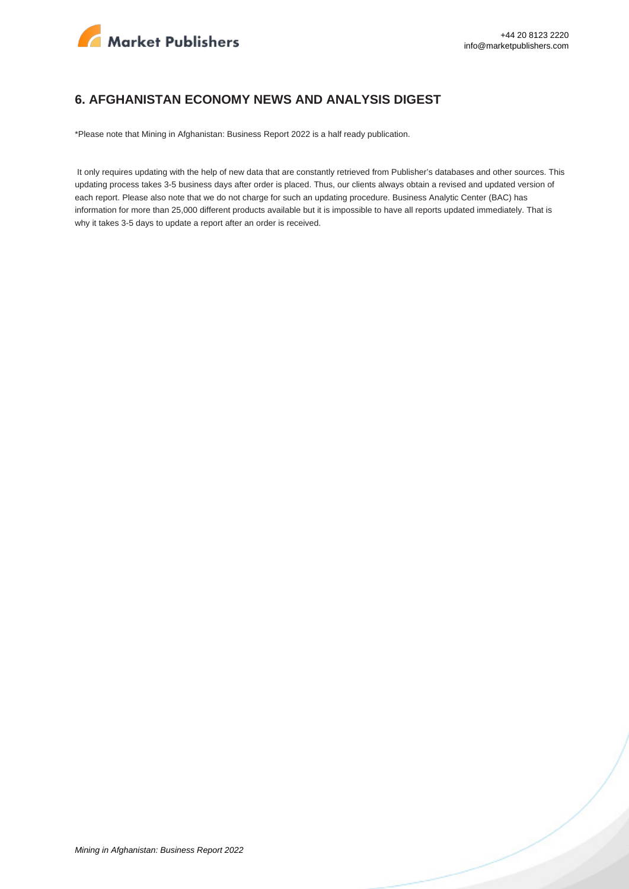

#### **6. AFGHANISTAN ECONOMY NEWS AND ANALYSIS DIGEST**

\*Please note that Mining in Afghanistan: Business Report 2022 is a half ready publication.

 It only requires updating with the help of new data that are constantly retrieved from Publisher's databases and other sources. This updating process takes 3-5 business days after order is placed. Thus, our clients always obtain a revised and updated version of each report. Please also note that we do not charge for such an updating procedure. Business Analytic Center (BAC) has information for more than 25,000 different products available but it is impossible to have all reports updated immediately. That is why it takes 3-5 days to update a report after an order is received.